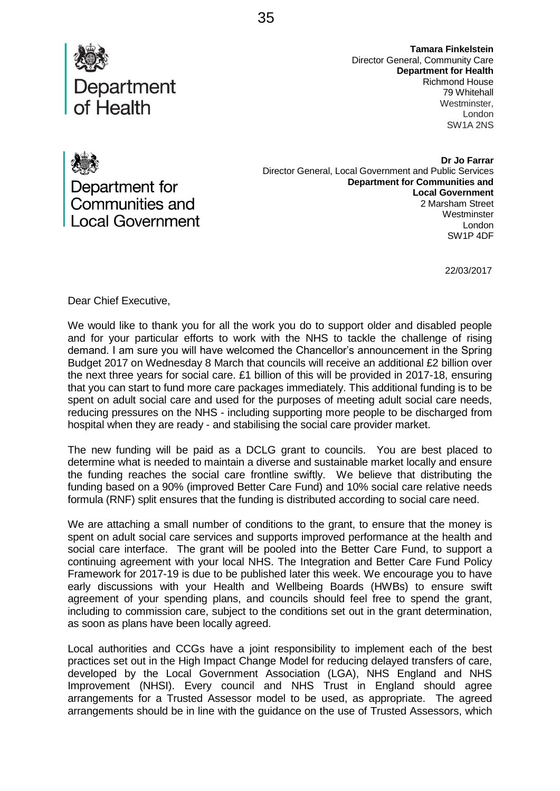

**Tamara Finkelstein** Director General, Community Care **Department for Health** Richmond House 79 Whitehall Westminster. London SW1A 2NS

Department for Communities and **Local Government** 

**Dr Jo Farrar** Director General, Local Government and Public Services **Department for Communities and Local Government** 2 Marsham Street **Westminster** London SW1P 4DF

22/03/2017

Dear Chief Executive,

We would like to thank you for all the work you do to support older and disabled people and for your particular efforts to work with the NHS to tackle the challenge of rising demand. I am sure you will have welcomed the Chancellor's announcement in the Spring Budget 2017 on Wednesday 8 March that councils will receive an additional £2 billion over the next three years for social care. £1 billion of this will be provided in 2017-18, ensuring that you can start to fund more care packages immediately. This additional funding is to be spent on adult social care and used for the purposes of meeting adult social care needs, reducing pressures on the NHS - including supporting more people to be discharged from hospital when they are ready - and stabilising the social care provider market.

The new funding will be paid as a DCLG grant to councils. You are best placed to determine what is needed to maintain a diverse and sustainable market locally and ensure the funding reaches the social care frontline swiftly. We believe that distributing the funding based on a 90% (improved Better Care Fund) and 10% social care relative needs formula (RNF) split ensures that the funding is distributed according to social care need.

We are attaching a small number of conditions to the grant, to ensure that the money is spent on adult social care services and supports improved performance at the health and social care interface. The grant will be pooled into the Better Care Fund, to support a continuing agreement with your local NHS. The Integration and Better Care Fund Policy Framework for 2017-19 is due to be published later this week. We encourage you to have early discussions with your Health and Wellbeing Boards (HWBs) to ensure swift agreement of your spending plans, and councils should feel free to spend the grant, including to commission care, subject to the conditions set out in the grant determination, as soon as plans have been locally agreed.

Local authorities and CCGs have a joint responsibility to implement each of the best practices set out in the High Impact Change Model for reducing delayed transfers of care, developed by the Local Government Association (LGA), NHS England and NHS Improvement (NHSI). Every council and NHS Trust in England should agree arrangements for a Trusted Assessor model to be used, as appropriate. The agreed arrangements should be in line with the guidance on the use of Trusted Assessors, which